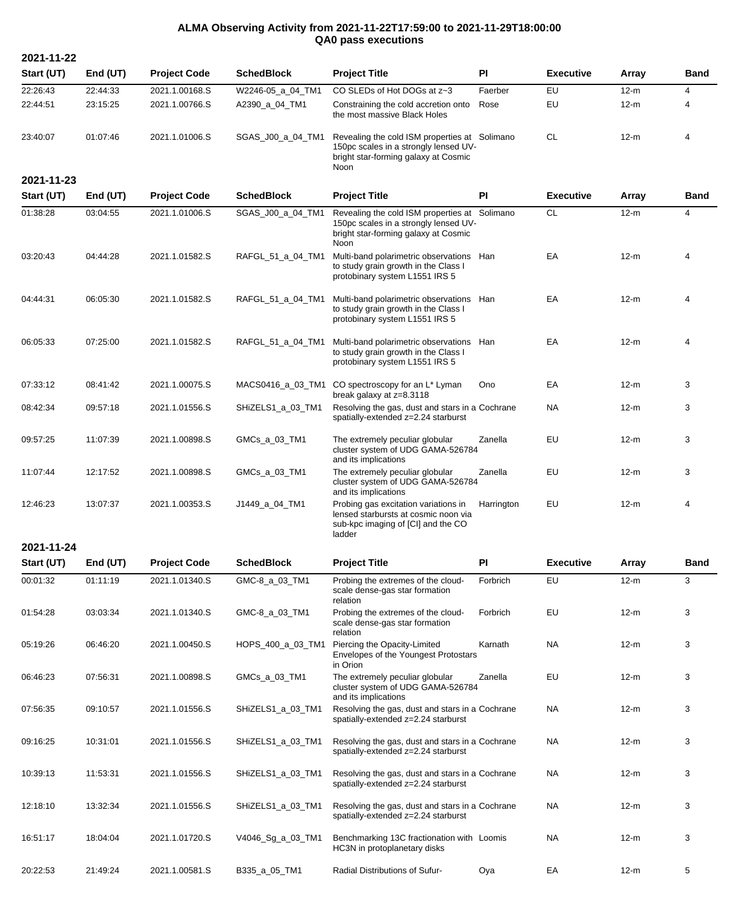## **ALMA Observing Activity from 2021-11-22T17:59:00 to 2021-11-29T18:00:00 QA0 pass executions**

| 2021-11-22<br>Start (UT) | End (UT) | <b>Project Code</b> | <b>SchedBlock</b> | <b>Project Title</b>                                                                                                                   | <b>PI</b>  | <b>Executive</b> | Array        | <b>Band</b> |
|--------------------------|----------|---------------------|-------------------|----------------------------------------------------------------------------------------------------------------------------------------|------------|------------------|--------------|-------------|
| 22:26:43                 | 22:44:33 | 2021.1.00168.S      | W2246-05_a_04_TM1 | CO SLEDs of Hot DOGs at z~3                                                                                                            | Faerber    | EU               | $12-m$       | 4           |
| 22:44:51                 | 23:15:25 | 2021.1.00766.S      | A2390_a_04_TM1    | Constraining the cold accretion onto<br>the most massive Black Holes                                                                   | Rose       | EU               | $12-m$       | 4           |
| 23:40:07                 | 01:07:46 | 2021.1.01006.S      | SGAS_J00_a_04_TM1 | Revealing the cold ISM properties at Solimano<br>150pc scales in a strongly lensed UV-<br>bright star-forming galaxy at Cosmic<br>Noon |            | <b>CL</b>        | $12-m$       | 4           |
| 2021-11-23               |          |                     |                   |                                                                                                                                        |            |                  |              |             |
| Start (UT)               | End (UT) | <b>Project Code</b> | <b>SchedBlock</b> | <b>Project Title</b>                                                                                                                   | PI         | <b>Executive</b> | <b>Array</b> | <b>Band</b> |
| 01:38:28                 | 03:04:55 | 2021.1.01006.S      | SGAS_J00_a_04_TM1 | Revealing the cold ISM properties at Solimano<br>150pc scales in a strongly lensed UV-<br>bright star-forming galaxy at Cosmic<br>Noon |            | <b>CL</b>        | $12-m$       | 4           |
| 03:20:43                 | 04:44:28 | 2021.1.01582.S      | RAFGL_51_a_04_TM1 | Multi-band polarimetric observations Han<br>to study grain growth in the Class I<br>protobinary system L1551 IRS 5                     |            | EA               | $12-m$       | 4           |
| 04:44:31                 | 06:05:30 | 2021.1.01582.S      | RAFGL_51_a_04_TM1 | Multi-band polarimetric observations Han<br>to study grain growth in the Class I<br>protobinary system L1551 IRS 5                     |            | EA               | $12-m$       | 4           |
| 06:05:33                 | 07:25:00 | 2021.1.01582.S      | RAFGL 51 a 04 TM1 | Multi-band polarimetric observations Han<br>to study grain growth in the Class I<br>protobinary system L1551 IRS 5                     |            | EA               | $12-m$       | 4           |
| 07:33:12                 | 08:41:42 | 2021.1.00075.S      |                   | $MACS0416_a_03_TM1CO$ spectroscopy for an L* Lyman<br>break galaxy at z=8.3118                                                         | Ono        | EA               | $12-m$       | 3           |
| 08:42:34                 | 09:57:18 | 2021.1.01556.S      | SHiZELS1_a_03_TM1 | Resolving the gas, dust and stars in a Cochrane<br>spatially-extended z=2.24 starburst                                                 |            | NA.              | $12-m$       | 3           |
| 09:57:25                 | 11:07:39 | 2021.1.00898.S      | GMCs_a_03_TM1     | The extremely peculiar globular<br>cluster system of UDG GAMA-526784<br>and its implications                                           | Zanella    | EU               | 12-m         | 3           |
| 11:07:44                 | 12:17:52 | 2021.1.00898.S      | GMCs_a_03_TM1     | The extremely peculiar globular<br>cluster system of UDG GAMA-526784<br>and its implications                                           | Zanella    | EU               | $12-m$       | 3           |
| 12:46:23                 | 13:07:37 | 2021.1.00353.S      | J1449_a_04_TM1    | Probing gas excitation variations in<br>lensed starbursts at cosmic noon via<br>sub-kpc imaging of [CI] and the CO<br>ladder           | Harrington | EU               | 12-m         | 4           |
| 2021-11-24               |          |                     |                   |                                                                                                                                        |            |                  |              |             |
| Start (UT)               | End (UT) | <b>Project Code</b> | <b>SchedBlock</b> | <b>Project Title</b>                                                                                                                   | PI         | <b>Executive</b> | Array        | <b>Band</b> |
| 00:01:32                 | 01:11:19 | 2021.1.01340.S      | GMC-8_a_03_TM1    | Probing the extremes of the cloud-<br>scale dense-gas star formation<br>relation                                                       | Forbrich   | EU               | $12-m$       | 3           |
| 01:54:28                 | 03:03:34 | 2021.1.01340.S      | GMC-8_a_03_TM1    | Probing the extremes of the cloud-<br>scale dense-gas star formation<br>relation                                                       | Forbrich   | EU               | $12-m$       | 3           |
| 05:19:26                 | 06:46:20 | 2021.1.00450.S      | HOPS_400_a_03_TM1 | Piercing the Opacity-Limited<br>Envelopes of the Youngest Protostars<br>in Orion                                                       | Karnath    | NA.              | $12-m$       | 3           |
| 06:46:23                 | 07:56:31 | 2021.1.00898.S      | GMCs_a_03_TM1     | The extremely peculiar globular<br>cluster system of UDG GAMA-526784<br>and its implications                                           | Zanella    | EU               | $12-m$       | 3           |
| 07:56:35                 | 09:10:57 | 2021.1.01556.S      | SHiZELS1_a_03_TM1 | Resolving the gas, dust and stars in a Cochrane<br>spatially-extended z=2.24 starburst                                                 |            | NA               | $12-m$       | 3           |
| 09:16:25                 | 10:31:01 | 2021.1.01556.S      | SHiZELS1_a_03_TM1 | Resolving the gas, dust and stars in a Cochrane<br>spatially-extended z=2.24 starburst                                                 |            | NA.              | $12-m$       | 3           |
| 10:39:13                 | 11:53:31 | 2021.1.01556.S      | SHiZELS1_a_03_TM1 | Resolving the gas, dust and stars in a Cochrane<br>spatially-extended z=2.24 starburst                                                 |            | NA               | $12-m$       | 3           |
| 12:18:10                 | 13:32:34 | 2021.1.01556.S      | SHiZELS1_a_03_TM1 | Resolving the gas, dust and stars in a Cochrane<br>spatially-extended z=2.24 starburst                                                 |            | NA.              | $12-m$       | 3           |
| 16:51:17                 | 18:04:04 | 2021.1.01720.S      | V4046_Sg_a_03_TM1 | Benchmarking 13C fractionation with Loomis<br>HC3N in protoplanetary disks                                                             |            | NA               | $12-m$       | 3           |
| 20:22:53                 | 21:49:24 | 2021.1.00581.S      | B335_a_05_TM1     | Radial Distributions of Sufur-                                                                                                         | Oya        | EA               | $12-m$       | 5           |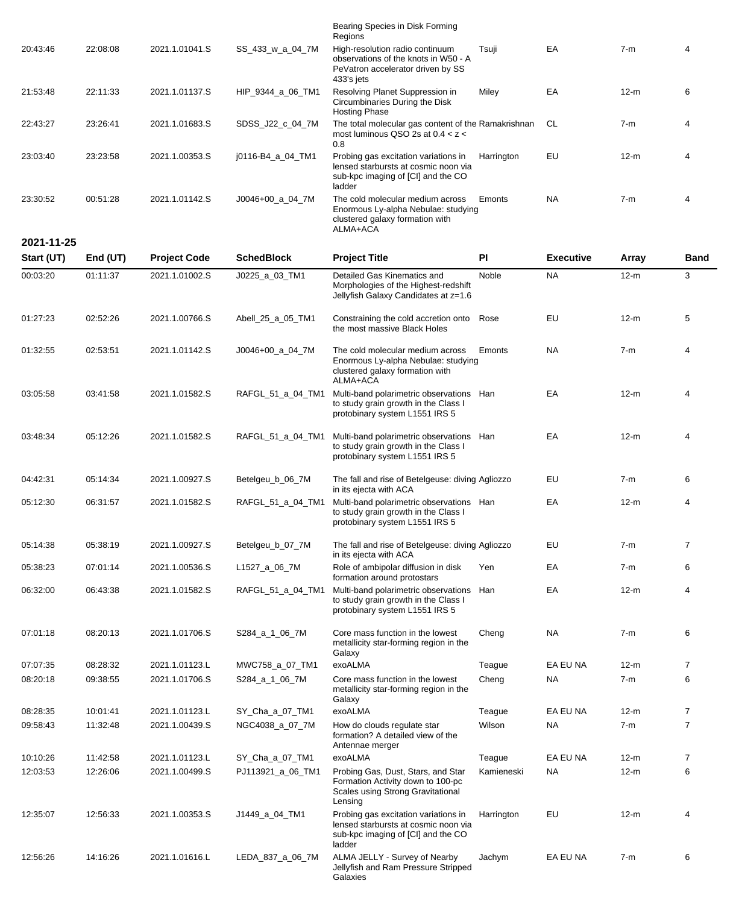|            |          |                     |                    | Bearing Species in Disk Forming<br>Regions                                                                                   |            |                  |        |                |
|------------|----------|---------------------|--------------------|------------------------------------------------------------------------------------------------------------------------------|------------|------------------|--------|----------------|
| 20:43:46   | 22:08:08 | 2021.1.01041.S      | SS_433_w_a_04_7M   | High-resolution radio continuum<br>observations of the knots in W50 - A<br>PeVatron accelerator driven by SS<br>433's jets   | Tsuji      | EA               | $7-m$  | 4              |
| 21:53:48   | 22:11:33 | 2021.1.01137.S      | HIP 9344 a 06 TM1  | Resolving Planet Suppression in<br>Circumbinaries During the Disk<br><b>Hosting Phase</b>                                    | Miley      | EA               | $12-m$ | 6              |
| 22:43:27   | 23:26:41 | 2021.1.01683.S      | SDSS_J22_c_04_7M   | The total molecular gas content of the Ramakrishnan<br>most luminous QSO 2s at $0.4 < z <$<br>0.8                            |            | CL               | $7-m$  | 4              |
| 23:03:40   | 23:23:58 | 2021.1.00353.S      | j0116-B4_a_04_TM1  | Probing gas excitation variations in<br>lensed starbursts at cosmic noon via<br>sub-kpc imaging of [CI] and the CO<br>ladder | Harrington | EU               | $12-m$ | 4              |
| 23:30:52   | 00:51:28 | 2021.1.01142.S      | J0046+00_a_04_7M   | The cold molecular medium across<br>Enormous Ly-alpha Nebulae: studying<br>clustered galaxy formation with<br>ALMA+ACA       | Emonts     | <b>NA</b>        | $7-m$  | 4              |
| 2021-11-25 |          |                     |                    |                                                                                                                              |            |                  |        |                |
| Start (UT) | End (UT) | <b>Project Code</b> | <b>SchedBlock</b>  | <b>Project Title</b>                                                                                                         | PI         | <b>Executive</b> | Array  | Band           |
| 00:03:20   | 01:11:37 | 2021.1.01002.S      | J0225 a 03 TM1     | Detailed Gas Kinematics and<br>Morphologies of the Highest-redshift<br>Jellyfish Galaxy Candidates at z=1.6                  | Noble      | NA.              | $12-m$ | 3              |
| 01:27:23   | 02:52:26 | 2021.1.00766.S      | Abell_25_a_05_TM1  | Constraining the cold accretion onto<br>the most massive Black Holes                                                         | Rose       | EU               | $12-m$ | 5              |
| 01:32:55   | 02:53:51 | 2021.1.01142.S      | $JO046+00$ a 04 7M | The cold molecular medium across<br>Enormous Ly-alpha Nebulae: studying<br>clustered galaxy formation with<br>ALMA+ACA       | Emonts     | NA.              | $7-m$  | 4              |
| 03:05:58   | 03:41:58 | 2021.1.01582.S      | RAFGL_51_a_04_TM1  | Multi-band polarimetric observations Han<br>to study grain growth in the Class I<br>protobinary system L1551 IRS 5           |            | EA               | $12-m$ | 4              |
| 03:48:34   | 05:12:26 | 2021.1.01582.S      | RAFGL_51_a_04_TM1  | Multi-band polarimetric observations Han<br>to study grain growth in the Class I<br>protobinary system L1551 IRS 5           |            | EA               | $12-m$ | 4              |
| 04:42:31   | 05:14:34 | 2021.1.00927.S      | Betelgeu_b_06_7M   | The fall and rise of Betelgeuse: diving Agliozzo<br>in its ejecta with ACA                                                   |            | EU               | $7-m$  | 6              |
| 05:12:30   | 06:31:57 | 2021.1.01582.S      | RAFGL_51_a_04_TM1  | Multi-band polarimetric observations Han<br>to study grain growth in the Class I<br>protobinary system L1551 IRS 5           |            | EA               | $12-m$ | 4              |
| 05:14:38   | 05:38:19 | 2021.1.00927.S      | Betelgeu_b_07_7M   | The fall and rise of Betelgeuse: diving Agliozzo<br>in its ejecta with ACA                                                   |            | EU               | $7-m$  | $\overline{7}$ |
| 05:38:23   | 07:01:14 | 2021.1.00536.S      | L1527_a_06_7M      | Role of ambipolar diffusion in disk<br>formation around protostars                                                           | Yen        | EA               | $7-m$  | 6              |
| 06:32:00   | 06:43:38 | 2021.1.01582.S      | RAFGL_51_a_04_TM1  | Multi-band polarimetric observations Han<br>to study grain growth in the Class I<br>protobinary system L1551 IRS 5           |            | EA               | $12-m$ | 4              |
| 07:01:18   | 08:20:13 | 2021.1.01706.S      | S284_a_1_06_7M     | Core mass function in the lowest<br>metallicity star-forming region in the<br>Galaxy                                         | Cheng      | <b>NA</b>        | $7-m$  | 6              |
| 07:07:35   | 08:28:32 | 2021.1.01123.L      | MWC758_a_07_TM1    | exoALMA                                                                                                                      | Teague     | EA EU NA         | $12-m$ | $\overline{7}$ |
| 08:20:18   | 09:38:55 | 2021.1.01706.S      | S284_a_1_06_7M     | Core mass function in the lowest<br>metallicity star-forming region in the<br>Galaxy                                         | Cheng      | NA.              | $7-m$  | 6              |
| 08:28:35   | 10:01:41 | 2021.1.01123.L      | SY_Cha_a_07_TM1    | exoALMA                                                                                                                      | Teague     | EA EU NA         | 12-m   | $\overline{7}$ |
| 09:58:43   | 11:32:48 | 2021.1.00439.S      | NGC4038_a_07_7M    | How do clouds regulate star<br>formation? A detailed view of the<br>Antennae merger                                          | Wilson     | <b>NA</b>        | $7-m$  | $\overline{7}$ |
| 10:10:26   | 11:42:58 | 2021.1.01123.L      | SY_Cha_a_07_TM1    | exoALMA                                                                                                                      | Teague     | EA EU NA         | $12-m$ | 7              |
| 12:03:53   | 12:26:06 | 2021.1.00499.S      | PJ113921_a_06_TM1  | Probing Gas, Dust, Stars, and Star<br>Formation Activity down to 100-pc<br>Scales using Strong Gravitational<br>Lensing      | Kamieneski | <b>NA</b>        | $12-m$ | 6              |
| 12:35:07   | 12:56:33 | 2021.1.00353.S      | J1449_a_04_TM1     | Probing gas excitation variations in<br>lensed starbursts at cosmic noon via<br>sub-kpc imaging of [CI] and the CO<br>ladder | Harrington | EU               | $12-m$ | 4              |
| 12:56:26   | 14:16:26 | 2021.1.01616.L      | LEDA_837_a_06_7M   | ALMA JELLY - Survey of Nearby<br>Jellyfish and Ram Pressure Stripped<br>Galaxies                                             | Jachym     | EA EU NA         | $7-m$  | 6              |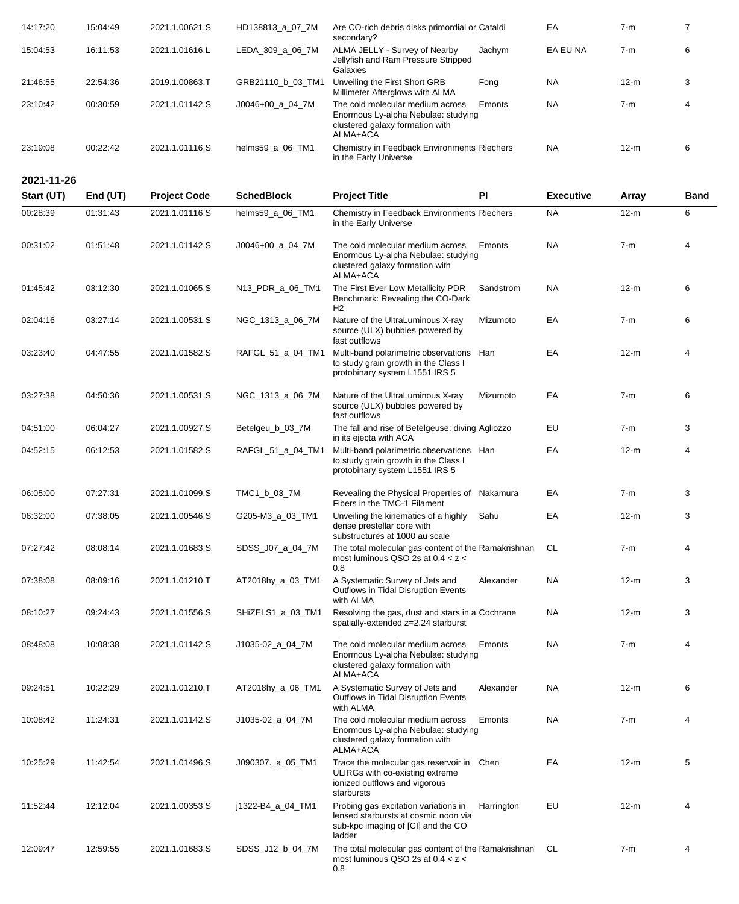| 14:17:20 | 15:04:49 | 2021.1.00621.S | HD138813_a_07_7M   | Are CO-rich debris disks primordial or Cataldi<br>secondary?                                                           |               | EA        | $7-m$  |   |
|----------|----------|----------------|--------------------|------------------------------------------------------------------------------------------------------------------------|---------------|-----------|--------|---|
| 15:04:53 | 16:11:53 | 2021.1.01616.L | LEDA 309 a 06 7M   | ALMA JELLY - Survey of Nearby<br>Jellyfish and Ram Pressure Stripped<br>Galaxies                                       | Jachvm        | EA EU NA  | $7-m$  | 6 |
| 21:46:55 | 22:54:36 | 2019.1.00863.T | GRB21110 b 03 TM1  | Unveiling the First Short GRB<br>Millimeter Afterglows with ALMA                                                       | Fong          | <b>NA</b> | $12-m$ |   |
| 23:10:42 | 00:30:59 | 2021.1.01142.S | $JO046+00$ a 04 7M | The cold molecular medium across<br>Enormous Ly-alpha Nebulae: studying<br>clustered galaxy formation with<br>ALMA+ACA | <b>Emonts</b> | <b>NA</b> | $7-m$  | 4 |
| 23:19:08 | 00:22:42 | 2021.1.01116.S | helms59 a 06 TM1   | Chemistry in Feedback Environments Riechers<br>in the Early Universe                                                   |               | <b>NA</b> | $12-m$ | 6 |

**2021-11-26**

| Start (UT) | End $(UT)$ | <b>Project Code</b> | <b>SchedBlock</b> | <b>Project Title</b>                                                                                                         | PI         | <b>Executive</b> | Array  | <b>Band</b> |
|------------|------------|---------------------|-------------------|------------------------------------------------------------------------------------------------------------------------------|------------|------------------|--------|-------------|
| 00:28:39   | 01:31:43   | 2021.1.01116.S      | helms59_a_06_TM1  | Chemistry in Feedback Environments Riechers<br>in the Early Universe                                                         |            | <b>NA</b>        | $12-m$ | 6           |
| 00:31:02   | 01:51:48   | 2021.1.01142.S      | J0046+00_a_04_7M  | The cold molecular medium across<br>Enormous Ly-alpha Nebulae: studying<br>clustered galaxy formation with<br>ALMA+ACA       | Emonts     | <b>NA</b>        | $7-m$  | 4           |
| 01:45:42   | 03:12:30   | 2021.1.01065.S      | N13_PDR_a_06_TM1  | The First Ever Low Metallicity PDR<br>Benchmark: Revealing the CO-Dark<br>H <sub>2</sub>                                     | Sandstrom  | <b>NA</b>        | $12-m$ | 6           |
| 02:04:16   | 03:27:14   | 2021.1.00531.S      | NGC_1313_a_06_7M  | Nature of the UltraLuminous X-ray<br>source (ULX) bubbles powered by<br>fast outflows                                        | Mizumoto   | EA               | $7-m$  | 6           |
| 03:23:40   | 04:47:55   | 2021.1.01582.S      | RAFGL_51_a_04_TM1 | Multi-band polarimetric observations Han<br>to study grain growth in the Class I<br>protobinary system L1551 IRS 5           |            | EA               | $12-m$ | 4           |
| 03:27:38   | 04:50:36   | 2021.1.00531.S      | NGC_1313_a_06_7M  | Nature of the UltraLuminous X-ray<br>source (ULX) bubbles powered by<br>fast outflows                                        | Mizumoto   | EA               | $7-m$  | 6           |
| 04:51:00   | 06:04:27   | 2021.1.00927.S      | Betelgeu_b_03_7M  | The fall and rise of Betelgeuse: diving Agliozzo<br>in its ejecta with ACA                                                   |            | EU               | $7-m$  | 3           |
| 04:52:15   | 06:12:53   | 2021.1.01582.S      | RAFGL_51_a_04_TM1 | Multi-band polarimetric observations Han<br>to study grain growth in the Class I<br>protobinary system L1551 IRS 5           |            | EA               | $12-m$ | 4           |
| 06:05:00   | 07:27:31   | 2021.1.01099.S      | TMC1_b_03_7M      | Revealing the Physical Properties of Nakamura<br>Fibers in the TMC-1 Filament                                                |            | EA               | $7-m$  | 3           |
| 06:32:00   | 07:38:05   | 2021.1.00546.S      | G205-M3_a_03_TM1  | Unveiling the kinematics of a highly<br>dense prestellar core with<br>substructures at 1000 au scale                         | Sahu       | EA               | $12-m$ | 3           |
| 07:27:42   | 08:08:14   | 2021.1.01683.S      | SDSS_J07_a_04_7M  | The total molecular gas content of the Ramakrishnan<br>most luminous QSO 2s at $0.4 < z <$<br>0.8                            |            | CL               | $7-m$  | 4           |
| 07:38:08   | 08:09:16   | 2021.1.01210.T      | AT2018hy_a_03_TM1 | A Systematic Survey of Jets and<br>Outflows in Tidal Disruption Events<br>with ALMA                                          | Alexander  | <b>NA</b>        | $12-m$ | 3           |
| 08:10:27   | 09:24:43   | 2021.1.01556.S      | SHiZELS1_a_03_TM1 | Resolving the gas, dust and stars in a Cochrane<br>spatially-extended z=2.24 starburst                                       |            | NA.              | $12-m$ | 3           |
| 08:48:08   | 10:08:38   | 2021.1.01142.S      | J1035-02_a_04_7M  | The cold molecular medium across<br>Enormous Ly-alpha Nebulae: studying<br>clustered galaxy formation with<br>ALMA+ACA       | Emonts     | <b>NA</b>        | $7-m$  | 4           |
| 09:24:51   | 10:22:29   | 2021.1.01210.T      | AT2018hy_a_06_TM1 | A Systematic Survey of Jets and<br>Outflows in Tidal Disruption Events<br>with ALMA                                          | Alexander  | NA.              | $12-m$ | 6           |
| 10:08:42   | 11:24:31   | 2021.1.01142.S      | J1035-02_a_04_7M  | The cold molecular medium across<br>Enormous Ly-alpha Nebulae: studying<br>clustered galaxy formation with<br>ALMA+ACA       | Emonts     | NA.              | $7-m$  | 4           |
| 10:25:29   | 11:42:54   | 2021.1.01496.S      | J090307._a_05_TM1 | Trace the molecular gas reservoir in Chen<br>ULIRGs with co-existing extreme<br>ionized outflows and vigorous<br>starbursts  |            | EA               | $12-m$ | 5           |
| 11:52:44   | 12:12:04   | 2021.1.00353.S      | j1322-B4_a_04_TM1 | Probing gas excitation variations in<br>lensed starbursts at cosmic noon via<br>sub-kpc imaging of [CI] and the CO<br>ladder | Harrington | EU               | $12-m$ | 4           |
| 12:09:47   | 12:59:55   | 2021.1.01683.S      | SDSS_J12_b_04_7M  | The total molecular gas content of the Ramakrishnan<br>most luminous QSO 2s at $0.4 < z <$<br>0.8                            |            | CL               | $7-m$  | 4           |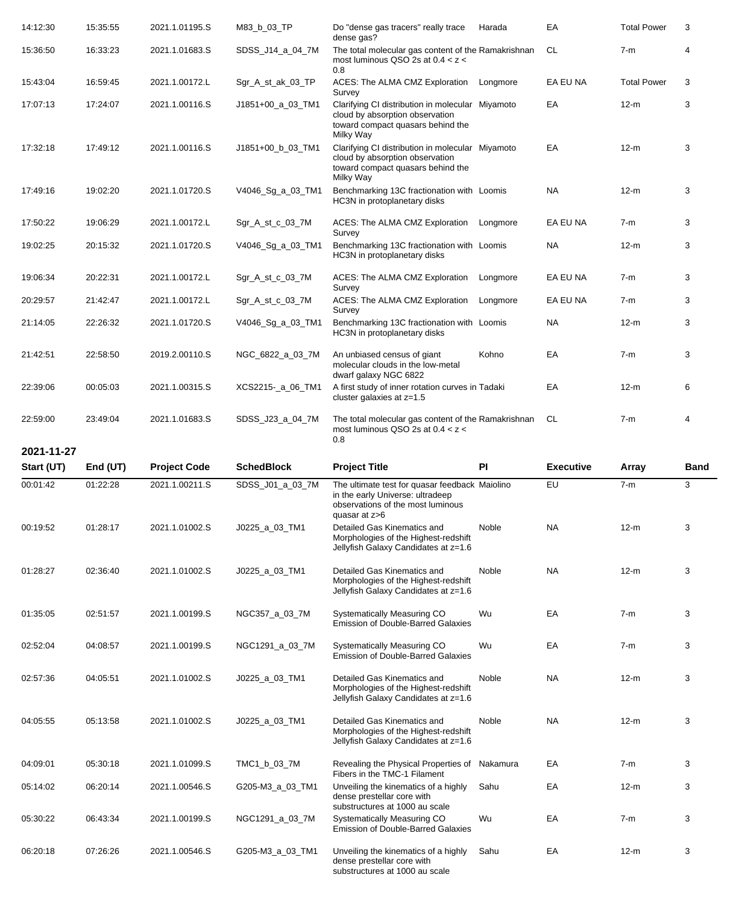| 14:12:30               | 15:35:55             | 2021.1.01195.S                        | M83_b_03_TP                           | Do "dense gas tracers" really trace<br>dense gas?                                                                                     | Harada   | EA                     | <b>Total Power</b> | 3                |
|------------------------|----------------------|---------------------------------------|---------------------------------------|---------------------------------------------------------------------------------------------------------------------------------------|----------|------------------------|--------------------|------------------|
| 15:36:50               | 16:33:23             | 2021.1.01683.S                        | SDSS_J14_a_04_7M                      | The total molecular gas content of the Ramakrishnan<br>most luminous QSO 2s at $0.4 < z <$<br>0.8                                     |          | <b>CL</b>              | $7-m$              | 4                |
| 15:43:04               | 16:59:45             | 2021.1.00172.L                        | Sgr_A_st_ak_03_TP                     | ACES: The ALMA CMZ Exploration<br>Survey                                                                                              | Longmore | EA EU NA               | <b>Total Power</b> | 3                |
| 17:07:13               | 17:24:07             | 2021.1.00116.S                        | J1851+00_a_03_TM1                     | Clarifying CI distribution in molecular Miyamoto<br>cloud by absorption observation<br>toward compact quasars behind the<br>Milky Way |          | EA                     | $12-m$             | 3                |
| 17:32:18               | 17:49:12             | 2021.1.00116.S                        | J1851+00_b_03_TM1                     | Clarifying CI distribution in molecular Miyamoto<br>cloud by absorption observation<br>toward compact quasars behind the<br>Milky Way |          | EA                     | $12-m$             | 3                |
| 17:49:16               | 19:02:20             | 2021.1.01720.S                        | V4046_Sg_a_03_TM1                     | Benchmarking 13C fractionation with Loomis<br>HC3N in protoplanetary disks                                                            |          | <b>NA</b>              | $12-m$             | 3                |
| 17:50:22               | 19:06:29             | 2021.1.00172.L                        | Sgr_A_st_c_03_7M                      | ACES: The ALMA CMZ Exploration<br>Survey                                                                                              | Longmore | EA EU NA               | $7-m$              | 3                |
| 19:02:25               | 20:15:32             | 2021.1.01720.S                        | V4046_Sg_a_03_TM1                     | Benchmarking 13C fractionation with Loomis<br>HC3N in protoplanetary disks                                                            |          | NA.                    | $12-m$             | 3                |
| 19:06:34               | 20:22:31             | 2021.1.00172.L                        | Sgr_A_st_c_03_7M                      | ACES: The ALMA CMZ Exploration<br>Survey                                                                                              | Longmore | EA EU NA               | $7-m$              | 3                |
| 20:29:57               | 21:42:47             | 2021.1.00172.L                        | Sgr_A_st_c_03_7M                      | ACES: The ALMA CMZ Exploration<br>Survey                                                                                              | Longmore | EA EU NA               | $7-m$              | 3                |
| 21:14:05               | 22:26:32             | 2021.1.01720.S                        | V4046_Sg_a_03_TM1                     | Benchmarking 13C fractionation with Loomis<br>HC3N in protoplanetary disks                                                            |          | NA.                    | $12-m$             | 3                |
| 21:42:51               | 22:58:50             | 2019.2.00110.S                        | NGC_6822_a_03_7M                      | An unbiased census of giant<br>molecular clouds in the low-metal<br>dwarf galaxy NGC 6822                                             | Kohno    | EA                     | $7-m$              | 3                |
| 22.39.06               | 00:05:03             | 2021.1.00315.S                        | XCS2215-_a_06_TM1                     | A first study of inner rotation curves in Tadaki<br>cluster galaxies at z=1.5                                                         |          | EA                     | $12-m$             | 6                |
| 22:59:00               | 23:49:04             | 2021.1.01683.S                        | SDSS_J23_a_04_7M                      | The total molecular gas content of the Ramakrishnan<br>most luminous QSO 2s at $0.4 < z <$<br>0.8                                     |          | <b>CL</b>              | $7-m$              | 4                |
|                        |                      |                                       |                                       |                                                                                                                                       |          |                        |                    |                  |
| 2021-11-27             |                      |                                       |                                       |                                                                                                                                       |          |                        |                    |                  |
| Start (UT)<br>00:01:42 | End (UT)<br>01:22:28 | <b>Project Code</b><br>2021.1.00211.S | <b>SchedBlock</b><br>SDSS_J01_a_03_7M | <b>Project Title</b><br>The ultimate test for quasar feedback Maiolino                                                                | PI       | <b>Executive</b><br>EU | Array<br>$7-m$     | <b>Band</b><br>3 |
|                        |                      |                                       |                                       | in the early Universe: ultradeep<br>observations of the most luminous<br>quasar at z>6                                                |          |                        |                    |                  |
| 00:19:52               | 01:28:17             | 2021.1.01002.S                        | J0225_a_03_TM1                        | Detailed Gas Kinematics and<br>Morphologies of the Highest-redshift<br>Jellyfish Galaxy Candidates at z=1.6                           | Noble    | <b>NA</b>              | $12-m$             | 3                |
| 01:28:27               | 02:36:40             | 2021.1.01002.S                        | J0225_a_03_TM1                        | Detailed Gas Kinematics and<br>Morphologies of the Highest-redshift<br>Jellyfish Galaxy Candidates at z=1.6                           | Noble    | <b>NA</b>              | $12-m$             | 3                |
| 01:35:05               | 02:51:57             | 2021.1.00199.S                        | NGC357_a_03_7M                        | <b>Systematically Measuring CO</b><br><b>Emission of Double-Barred Galaxies</b>                                                       | Wu       | EA                     | $7-m$              | 3                |
| 02:52:04               | 04:08:57             | 2021.1.00199.S                        | NGC1291_a_03_7M                       | <b>Systematically Measuring CO</b><br><b>Emission of Double-Barred Galaxies</b>                                                       | Wu       | EA                     | $7-m$              | 3                |
| 02:57:36               | 04:05:51             | 2021.1.01002.S                        | J0225_a_03_TM1                        | Detailed Gas Kinematics and<br>Morphologies of the Highest-redshift<br>Jellyfish Galaxy Candidates at z=1.6                           | Noble    | <b>NA</b>              | $12-m$             | 3                |
| 04:05:55               | 05:13:58             | 2021.1.01002.S                        | J0225_a_03_TM1                        | Detailed Gas Kinematics and<br>Morphologies of the Highest-redshift<br>Jellyfish Galaxy Candidates at z=1.6                           | Noble    | <b>NA</b>              | $12-m$             | 3                |
| 04:09:01               | 05:30:18             | 2021.1.01099.S                        | TMC1_b_03_7M                          | Revealing the Physical Properties of                                                                                                  | Nakamura | EA                     | $7-m$              | 3                |
| 05:14:02               | 06:20:14             | 2021.1.00546.S                        | G205-M3_a_03_TM1                      | Fibers in the TMC-1 Filament<br>Unveiling the kinematics of a highly<br>dense prestellar core with                                    | Sahu     | EA                     | $12-m$             | 3                |
| 05:30:22               | 06:43:34             | 2021.1.00199.S                        | NGC1291_a_03_7M                       | substructures at 1000 au scale<br>Systematically Measuring CO<br><b>Emission of Double-Barred Galaxies</b>                            | Wu       | EA                     | $7-m$              | 3                |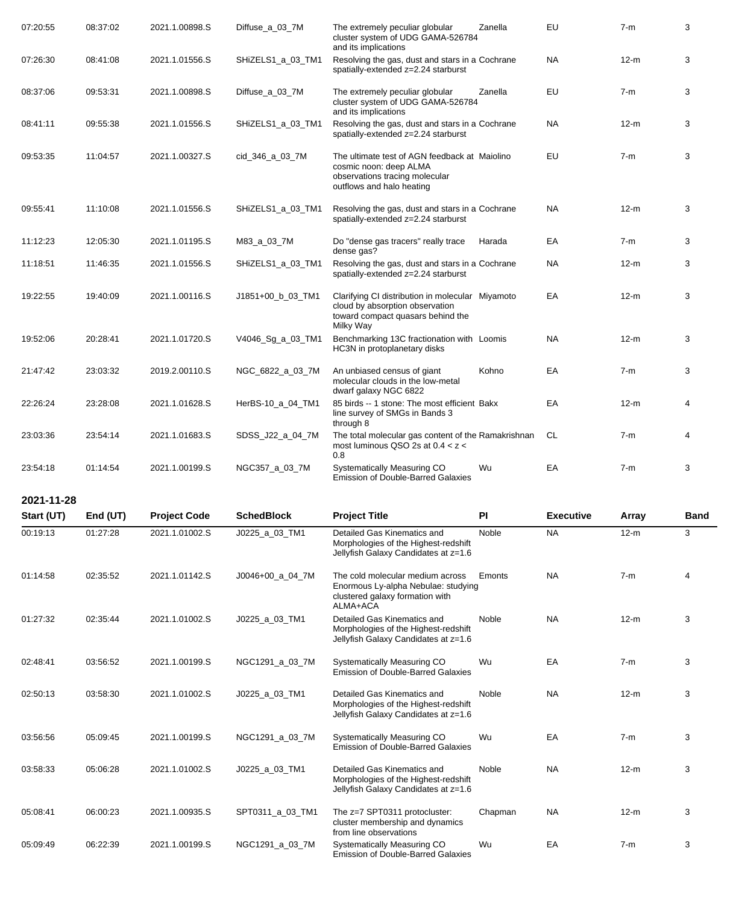| 07:20:55 | 08:37:02 | 2021.1.00898.S | Diffuse_a_03_7M   | The extremely peculiar globular<br>cluster system of UDG GAMA-526784<br>and its implications                                           | Zanella | EU        | $7-m$  | 3 |
|----------|----------|----------------|-------------------|----------------------------------------------------------------------------------------------------------------------------------------|---------|-----------|--------|---|
| 07:26:30 | 08:41:08 | 2021.1.01556.S | SHiZELS1_a_03_TM1 | Resolving the gas, dust and stars in a Cochrane<br>spatially-extended z=2.24 starburst                                                 |         | <b>NA</b> | $12-m$ | 3 |
| 08:37:06 | 09:53:31 | 2021.1.00898.S | Diffuse_a_03_7M   | The extremely peculiar globular<br>cluster system of UDG GAMA-526784<br>and its implications                                           | Zanella | EU        | $7-m$  | 3 |
| 08:41:11 | 09:55:38 | 2021.1.01556.S | SHiZELS1_a_03_TM1 | Resolving the gas, dust and stars in a Cochrane<br>spatially-extended z=2.24 starburst                                                 |         | <b>NA</b> | $12-m$ | 3 |
| 09:53:35 | 11:04:57 | 2021.1.00327.S | cid_346_a_03_7M   | The ultimate test of AGN feedback at Maiolino<br>cosmic noon: deep ALMA<br>observations tracing molecular<br>outflows and halo heating |         | EU        | $7-m$  | 3 |
| 09:55:41 | 11:10:08 | 2021.1.01556.S | SHiZELS1_a_03_TM1 | Resolving the gas, dust and stars in a Cochrane<br>spatially-extended z=2.24 starburst                                                 |         | <b>NA</b> | $12-m$ | 3 |
| 11:12:23 | 12:05:30 | 2021.1.01195.S | M83_a_03_7M       | Do "dense gas tracers" really trace<br>dense gas?                                                                                      | Harada  | EA        | $7-m$  | 3 |
| 11:18:51 | 11:46:35 | 2021.1.01556.S | SHiZELS1_a_03_TM1 | Resolving the gas, dust and stars in a Cochrane<br>spatially-extended z=2.24 starburst                                                 |         | <b>NA</b> | $12-m$ | 3 |
| 19:22:55 | 19:40:09 | 2021.1.00116.S | J1851+00_b_03_TM1 | Clarifying CI distribution in molecular Miyamoto<br>cloud by absorption observation<br>toward compact quasars behind the<br>Milky Way  |         | EA        | $12-m$ | 3 |
| 19:52:06 | 20:28:41 | 2021.1.01720.S | V4046_Sg_a_03_TM1 | Benchmarking 13C fractionation with Loomis<br>HC3N in protoplanetary disks                                                             |         | <b>NA</b> | $12-m$ | 3 |
| 21:47:42 | 23:03:32 | 2019.2.00110.S | NGC_6822_a_03_7M  | An unbiased census of giant<br>molecular clouds in the low-metal<br>dwarf galaxy NGC 6822                                              | Kohno   | EA        | $7-m$  | 3 |
| 22:26:24 | 23:28:08 | 2021.1.01628.S | HerBS-10_a_04_TM1 | 85 birds -- 1 stone: The most efficient Bakx<br>line survey of SMGs in Bands 3<br>through 8                                            |         | EA        | $12-m$ | 4 |
| 23:03:36 | 23:54:14 | 2021.1.01683.S | SDSS_J22_a_04_7M  | The total molecular gas content of the Ramakrishnan<br>most luminous QSO 2s at $0.4 < z <$<br>0.8                                      |         | <b>CL</b> | $7-m$  | 4 |
| 23:54:18 | 01:14:54 | 2021.1.00199.S | NGC357_a_03_7M    | Systematically Measuring CO<br><b>Emission of Double-Barred Galaxies</b>                                                               | Wu      | EA        | $7-m$  | 3 |

**2021-11-28**

| Start (UT) | End (UT) | <b>Project Code</b> | <b>SchedBlock</b>  | <b>Project Title</b>                                                                                                   | <b>PI</b> | <b>Executive</b> | Array  | <b>Band</b> |
|------------|----------|---------------------|--------------------|------------------------------------------------------------------------------------------------------------------------|-----------|------------------|--------|-------------|
| 00:19:13   | 01:27:28 | 2021.1.01002.S      | J0225_a_03_TM1     | Detailed Gas Kinematics and<br>Morphologies of the Highest-redshift<br>Jellyfish Galaxy Candidates at z=1.6            | Noble     | <b>NA</b>        | $12-m$ | 3           |
| 01:14:58   | 02:35:52 | 2021.1.01142.S      | $JO046+00$ a 04 7M | The cold molecular medium across<br>Enormous Ly-alpha Nebulae: studying<br>clustered galaxy formation with<br>ALMA+ACA | Emonts    | <b>NA</b>        | $7-m$  | 4           |
| 01:27:32   | 02:35:44 | 2021.1.01002.S      | J0225_a_03_TM1     | Detailed Gas Kinematics and<br>Morphologies of the Highest-redshift<br>Jellyfish Galaxy Candidates at z=1.6            | Noble     | <b>NA</b>        | $12-m$ | 3           |
| 02:48:41   | 03:56:52 | 2021.1.00199.S      | NGC1291_a_03_7M    | Systematically Measuring CO<br><b>Emission of Double-Barred Galaxies</b>                                               | Wu        | EA               | $7-m$  | 3           |
| 02:50:13   | 03:58:30 | 2021.1.01002.S      | J0225_a_03_TM1     | Detailed Gas Kinematics and<br>Morphologies of the Highest-redshift<br>Jellyfish Galaxy Candidates at z=1.6            | Noble     | <b>NA</b>        | $12-m$ | 3           |
| 03:56:56   | 05:09:45 | 2021.1.00199.S      | NGC1291 a 03 7M    | Systematically Measuring CO<br><b>Emission of Double-Barred Galaxies</b>                                               | Wu        | EA               | $7-m$  | 3           |
| 03:58:33   | 05:06:28 | 2021.1.01002.S      | J0225_a_03_TM1     | Detailed Gas Kinematics and<br>Morphologies of the Highest-redshift<br>Jellyfish Galaxy Candidates at z=1.6            | Noble     | <b>NA</b>        | $12-m$ | 3           |
| 05:08:41   | 06:00:23 | 2021.1.00935.S      | SPT0311_a_03_TM1   | The z=7 SPT0311 protocluster:<br>cluster membership and dynamics<br>from line observations                             | Chapman   | <b>NA</b>        | $12-m$ | 3           |
| 05:09:49   | 06:22:39 | 2021.1.00199.S      | NGC1291_a_03_7M    | Systematically Measuring CO<br><b>Emission of Double-Barred Galaxies</b>                                               | Wu        | EA               | $7-m$  | 3           |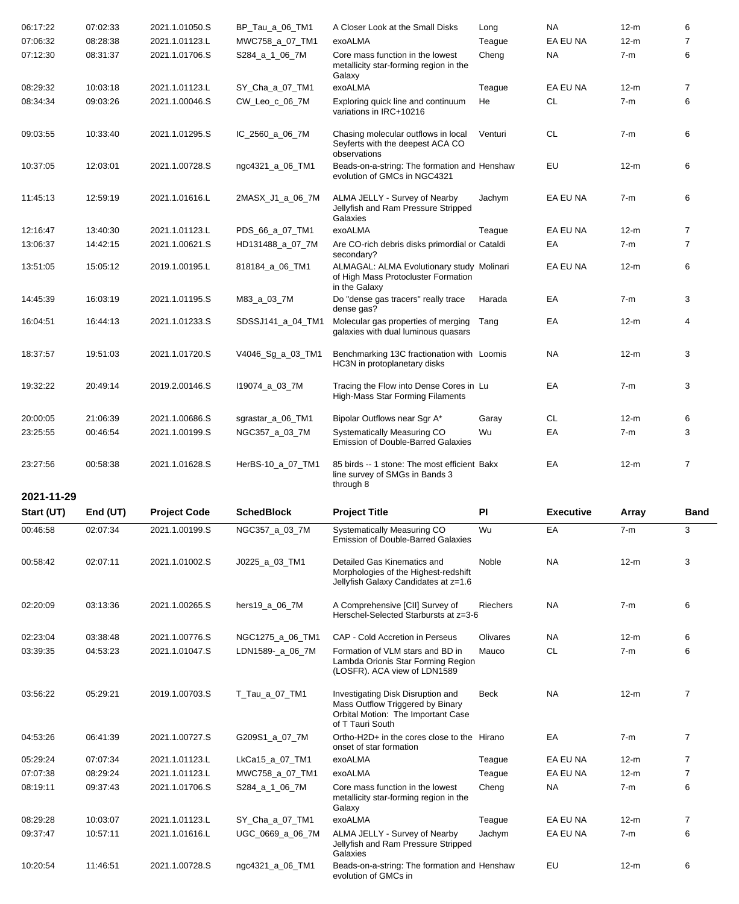| 06:17:22   | 07:02:33 | 2021.1.01050.S      | BP_Tau_a_06_TM1   | A Closer Look at the Small Disks                                                                                                | Long            | NA.              | $12-m$ | 6              |
|------------|----------|---------------------|-------------------|---------------------------------------------------------------------------------------------------------------------------------|-----------------|------------------|--------|----------------|
| 07:06:32   | 08:28:38 | 2021.1.01123.L      | MWC758_a_07_TM1   | exoALMA                                                                                                                         | Teague          | EA EU NA         | $12-m$ | 7              |
| 07:12:30   | 08:31:37 | 2021.1.01706.S      | S284_a_1_06_7M    | Core mass function in the lowest<br>metallicity star-forming region in the<br>Galaxy                                            | Cheng           | <b>NA</b>        | $7-m$  | 6              |
| 08:29:32   | 10:03:18 | 2021.1.01123.L      | SY_Cha_a_07_TM1   | exoALMA                                                                                                                         | Teague          | EA EU NA         | $12-m$ | 7              |
| 08:34:34   | 09:03:26 | 2021.1.00046.S      | CW_Leo_c_06_7M    | Exploring quick line and continuum<br>variations in IRC+10216                                                                   | He              | CL               | $7-m$  | 6              |
| 09:03:55   | 10:33:40 | 2021.1.01295.S      | IC_2560_a_06_7M   | Chasing molecular outflows in local<br>Seyferts with the deepest ACA CO<br>observations                                         | Venturi         | CL               | $7-m$  | 6              |
| 10:37:05   | 12:03:01 | 2021.1.00728.S      | ngc4321_a_06_TM1  | Beads-on-a-string: The formation and Henshaw<br>evolution of GMCs in NGC4321                                                    |                 | EU               | $12-m$ | 6              |
| 11:45:13   | 12:59:19 | 2021.1.01616.L      | 2MASX_J1_a_06_7M  | ALMA JELLY - Survey of Nearby<br>Jellyfish and Ram Pressure Stripped<br>Galaxies                                                | Jachym          | EA EU NA         | $7-m$  | 6              |
| 12:16:47   | 13:40:30 | 2021.1.01123.L      | PDS_66_a_07_TM1   | exoALMA                                                                                                                         | Teague          | EA EU NA         | $12-m$ | $\overline{7}$ |
| 13:06:37   | 14:42:15 | 2021.1.00621.S      | HD131488_a_07_7M  | Are CO-rich debris disks primordial or Cataldi<br>secondary?                                                                    |                 | EA               | $7-m$  | 7              |
| 13:51:05   | 15:05:12 | 2019.1.00195.L      | 818184_a_06_TM1   | ALMAGAL: ALMA Evolutionary study Molinari<br>of High Mass Protocluster Formation<br>in the Galaxy                               |                 | EA EU NA         | $12-m$ | 6              |
| 14:45:39   | 16:03:19 | 2021.1.01195.S      | M83_a_03_7M       | Do "dense gas tracers" really trace<br>dense gas?                                                                               | Harada          | EA               | $7-m$  | 3              |
| 16:04:51   | 16:44:13 | 2021.1.01233.S      | SDSSJ141_a_04_TM1 | Molecular gas properties of merging<br>galaxies with dual luminous quasars                                                      | Tang            | EA               | $12-m$ | 4              |
| 18:37:57   | 19:51:03 | 2021.1.01720.S      | V4046_Sg_a_03_TM1 | Benchmarking 13C fractionation with Loomis<br>HC3N in protoplanetary disks                                                      |                 | <b>NA</b>        | $12-m$ | 3              |
| 19:32:22   | 20:49:14 | 2019.2.00146.S      | 119074_a_03_7M    | Tracing the Flow into Dense Cores in Lu<br>High-Mass Star Forming Filaments                                                     |                 | EA               | $7-m$  | 3              |
| 20:00:05   | 21:06:39 | 2021.1.00686.S      | sgrastar_a_06_TM1 | Bipolar Outflows near Sgr A*                                                                                                    | Garay           | CL               | $12-m$ | 6              |
| 23:25:55   | 00:46:54 | 2021.1.00199.S      | NGC357_a_03_7M    | Systematically Measuring CO<br><b>Emission of Double-Barred Galaxies</b>                                                        | Wu              | EA               | $7-m$  | 3              |
| 23:27:56   | 00:58:38 | 2021.1.01628.S      | HerBS-10_a_07_TM1 | 85 birds -- 1 stone: The most efficient Bakx<br>line survey of SMGs in Bands 3<br>through 8                                     |                 | EA               | $12-m$ | 7              |
| 2021-11-29 |          |                     |                   |                                                                                                                                 |                 |                  |        |                |
| Start (UT) | End (UT) | <b>Project Code</b> | <b>SchedBlock</b> | <b>Project Title</b>                                                                                                            | PI              | <b>Executive</b> | Array  | <b>Band</b>    |
| 00:46:58   | 02:07:34 | 2021.1.00199.S      | NGC357_a_03_7M    | Systematically Measuring CO                                                                                                     | Wu              | EA               | $7-m$  | 3              |
|            |          |                     |                   | <b>Emission of Double-Barred Galaxies</b>                                                                                       |                 |                  |        |                |
| 00:58:42   | 02:07:11 | 2021.1.01002.S      | J0225_a_03_TM1    | Detailed Gas Kinematics and<br>Morphologies of the Highest-redshift<br>Jellyfish Galaxy Candidates at z=1.6                     | Noble           | <b>NA</b>        | $12-m$ | 3              |
| 02:20:09   | 03:13:36 | 2021.1.00265.S      | hers19_a_06_7M    | A Comprehensive [CII] Survey of<br>Herschel-Selected Starbursts at z=3-6                                                        | <b>Riechers</b> | <b>NA</b>        | $7-m$  | 6              |
| 02:23:04   | 03:38:48 | 2021.1.00776.S      | NGC1275_a_06_TM1  | CAP - Cold Accretion in Perseus                                                                                                 | Olivares        | NA.              | $12-m$ | 6              |
| 03:39:35   | 04:53:23 | 2021.1.01047.S      | LDN1589-_a_06_7M  | Formation of VLM stars and BD in<br>Lambda Orionis Star Forming Region<br>(LOSFR). ACA view of LDN1589                          | Mauco           | <b>CL</b>        | $7-m$  | 6              |
| 03:56:22   | 05:29:21 | 2019.1.00703.S      | T_Tau_a_07_TM1    | Investigating Disk Disruption and<br>Mass Outflow Triggered by Binary<br>Orbital Motion: The Important Case<br>of T Tauri South | Beck            | <b>NA</b>        | $12-m$ | 7              |
| 04:53:26   | 06:41:39 | 2021.1.00727.S      | G209S1_a_07_7M    | Ortho-H2D+ in the cores close to the Hirano<br>onset of star formation                                                          |                 | EA               | $7-m$  | $\overline{7}$ |
| 05:29:24   | 07:07:34 | 2021.1.01123.L      | LkCa15_a_07_TM1   | exoALMA                                                                                                                         | Teague          | EA EU NA         | $12-m$ | 7              |
| 07:07:38   | 08:29:24 | 2021.1.01123.L      | MWC758_a_07_TM1   | exoALMA                                                                                                                         | Teague          | EA EU NA         | $12-m$ | 7              |
| 08:19:11   | 09:37:43 | 2021.1.01706.S      | S284_a_1_06_7M    | Core mass function in the lowest                                                                                                | Cheng           | <b>NA</b>        | $7-m$  | 6              |
|            |          |                     |                   | metallicity star-forming region in the<br>Galaxy                                                                                |                 |                  |        |                |
| 08:29:28   | 10:03:07 | 2021.1.01123.L      | SY_Cha_a_07_TM1   | exoALMA                                                                                                                         | Teague          | EA EU NA         | 12-m   | 7              |
| 09:37:47   | 10:57:11 | 2021.1.01616.L      | UGC_0669_a_06_7M  | ALMA JELLY - Survey of Nearby<br>Jellyfish and Ram Pressure Stripped<br>Galaxies                                                | Jachym          | EA EU NA         | $7-m$  | 6              |
| 10:20:54   | 11:46:51 | 2021.1.00728.S      | ngc4321_a_06_TM1  | Beads-on-a-string: The formation and Henshaw<br>evolution of GMCs in                                                            |                 | EU               | $12-m$ | 6              |